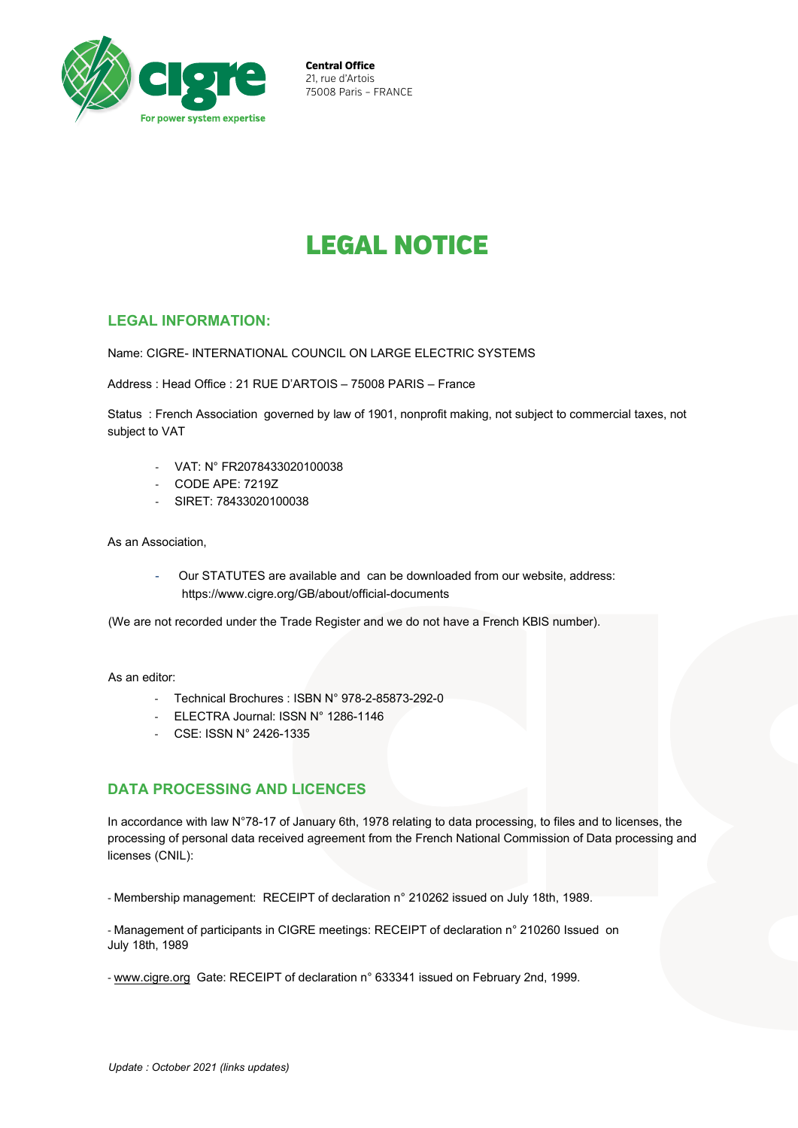

**Central Office**  21, rue d'Artois 75008 Paris – FRANCE

# LEGAL NOTICE

## **LEGAL INFORMATION:**

Name: CIGRE- INTERNATIONAL COUNCIL ON LARGE ELECTRIC SYSTEMS

Address : Head Office : 21 RUE D'ARTOIS – 75008 PARIS – France

Status : French Association governed by law of 1901, nonprofit making, not subject to commercial taxes, not subject to VAT

- VAT: N° FR2078433020100038
- CODE APE: 7219Z
- SIRET: 78433020100038

As an Association,

Our STATUTES are available and can be downloaded from our website, address: <https://www.cigre.org/GB/about/official-documents>

(We are not recorded under the Trade Register and we do not have a French KBIS number).

As an editor:

- Technical Brochures : ISBN N° 978-2-85873-292-0
- ELECTRA Journal: ISSN N° 1286-1146
- CSE: ISSN N° 2426-1335

## **DATA PROCESSING AND LICENCES**

In accordance with law N°78-17 of January 6th, 1978 relating to data processing, to files and to licenses, the processing of personal data received agreement from the French National Commission of Data processing and licenses (CNIL):

- Membership management: RECEIPT of declaration n° 210262 issued on July 18th, 1989.

- Management of participants in CIGRE meetings: RECEIPT of declaration n° 210260 Issued on July 18th, 1989

- [www.cigre.org](http://www.cigre.org) Gate: RECEIPT of declaration n° 633341 issued on February 2nd, 1999.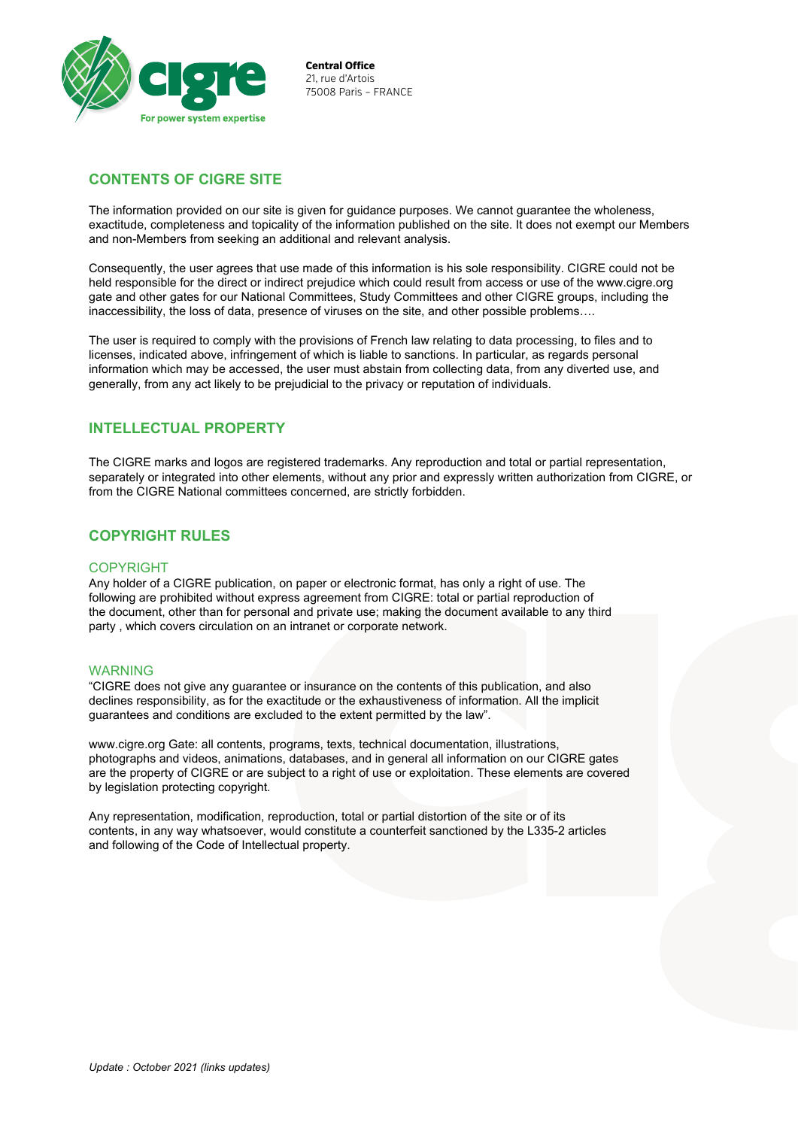

**Central Office**  21, rue d'Artois 75008 Paris – FRANCE

# **CONTENTS OF CIGRE SITE**

The information provided on our site is given for guidance purposes. We cannot guarantee the wholeness, exactitude, completeness and topicality of the information published on the site. It does not exempt our Members and non-Members from seeking an additional and relevant analysis.

Consequently, the user agrees that use made of this information is his sole responsibility. CIGRE could not be held responsible for the direct or indirect prejudice which could result from access or use of the [www.cigre.org](http://www.cigre.org)  gate and other gates for our National Committees, Study Committees and other CIGRE groups, including the inaccessibility, the loss of data, presence of viruses on the site, and other possible problems….

The user is required to comply with the provisions of French law relating to data processing, to files and to licenses, indicated above, infringement of which is liable to sanctions. In particular, as regards personal information which may be accessed, the user must abstain from collecting data, from any diverted use, and generally, from any act likely to be prejudicial to the privacy or reputation of individuals.

## **INTELLECTUAL PROPERTY**

The CIGRE marks and logos are registered trademarks. Any reproduction and total or partial representation, separately or integrated into other elements, without any prior and expressly written authorization from CIGRE, or from the CIGRE National committees concerned, are strictly forbidden.

## **COPYRIGHT RULES**

#### **COPYRIGHT**

Any holder of a CIGRE publication, on paper or electronic format, has only a right of use. The following are prohibited without express agreement from CIGRE: total or partial reproduction of the document, other than for personal and private use; making the document available to any third party , which covers circulation on an intranet or corporate network.

#### WARNING

"CIGRE does not give any guarantee or insurance on the contents of this publication, and also declines responsibility, as for the exactitude or the exhaustiveness of information. All the implicit guarantees and conditions are excluded to the extent permitted by the law".

[www.cigre.org Ga](http://www.cigre.org)te: all contents, programs, texts, technical documentation, illustrations, photographs and videos, animations, databases, and in general all information on our CIGRE gates are the property of CIGRE or are subject to a right of use or exploitation. These elements are covered by legislation protecting copyright.

Any representation, modification, reproduction, total or partial distortion of the site or of its contents, in any way whatsoever, would constitute a counterfeit sanctioned by the L335-2 articles and following of the Code of Intellectual property.